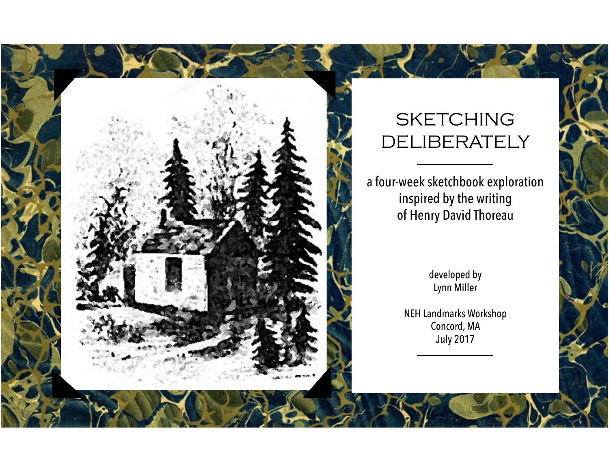## **SKETCHING DELIBERATELY**

a four-week sketchbook exploration inspired by the writing of Henry David Thoreau

> developed by Lynn Miller

NEH Landmarks Workshop Concord, MA July 2017

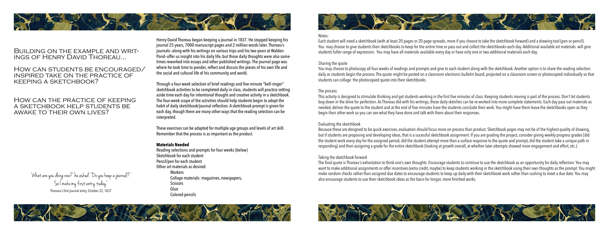

# BUILDING ON THE EXAMPLE AND WRIT-<br>INGS OF HENRY DAVID THOREAU...

How can students be encouraged/ inspired take on the practice of keeping a sketchbook?

### How can the practice of keeping a sketchbook help students be awake to their own lives?

Henry David Thoreau began keeping a journal in 1837. He stopped keeping his journal 25 years, 7000 manuscript pages and 2 million words later. Thoreau's journals--along with his writings on various trips and his two years at Walden Pond--offer us insight into his daily life, but those daily thoughts were also sometimes reworked into essays and other published writings. The journal page was where he took time to ponder, reflect and discuss the pieces of his own life and the social and cultural life of his community and world.

Through a four-week selection of brief readings and five-minute "bell-ringer" sketchbook activities to be completed daily in class, students will practice setting aside time each day for intentional thought and creative activity in a sketchbook. The four-week scope of the activities should help students begin to adopt the habit of daily sketchbook/journal reflection. A sketchbook prompt is given for each day, though there are many other ways that the reading selection can be interpreted.

These exercises can be adapted for multiple age groups and levels of art skill. Remember that the process is as important as the product.

#### **Materials Needed**

Reading selections and prompts for four weeks (below) Sketchbook for each student Pencil/pen for each student Other art materials as desired: Markers Collage materials: magazines, newspapers, **Scissors** Glue Colored pencils



'What are you doing now?' he asked. 'Do you keep a journal?' So I make my first entry today" Thoreau's first journal entry, October 22, 1837



Notes:

Each student will need a sketchbook (with at least 20 pages or 20 page-spreads, more if you choose to take the sketchbook forward) and a drawing tool (pen or pencil). You may choose to give students their sketchbooks to keep for the entire time or pass out and collect the sketchbooks each day. Additional available art materials will give students fuller range of expression. You may have all materials available every day or have only one or two additional materials each day.

Sharing the quote

You may choose to photocopy all four weeks of readings and prompts and give to each student along with the sketchbook. Another option is to share the reading selection daily as students begin the process. The quote might be posted on a classroom electronic bulletin board, projected on a classroom screen or photocopied individually so that students can collage the photocopied quote into their sketchbooks.

The process

This activity is designed to stimulate thinking and get students working in the first five minutes of class. Keeping students moving is part of the process. Don't let students bog down in the drive for perfection. As Thoreau did with his writings, these daily sketches can be re-worked into more complete statements. Each day pass out materials as needed, deliver the quote to the student and at the end of five minutes have the students conclude their work. You might have them leave the sketchbooks open as they begin their other work so you can see what they have done and talk with them about their responses.

Evaluating the sketchbook

Because these are designed to be quick exercises, evaluation should focus more on process than product. Sketchbook pages may not be of the highest quality of drawing, but if students are proposing and developing ideas, that is a sucessful sketchbook assignment. If you are grading the project, consider giving weekly progress grades (did the student work every day for the assigned period, did the student attempt more than a surface response to the quote and prompt, did the student take a unique path in responding) and then assigning a grade for the entire sketchbook (looking at growth overall, at whether later attempts showed more engagement and effort, etc.).

Taking the sketchbook forward The final quote is Thoreau's exhortation to think one's own thoughts. Encourage students to continue to use the sketchbook as an opportunity for daily reflection. You may want to make additional assignments or offer incentives (extra credit, maybe) to keep students working in the sketchbook using their own thoughts as the prompt. You might make random checks rather than assigned due dates to encourage students to keep up daily with their sketchbook work rather than rushing to meet a due date. You may also encourage students to use their sketchbook ideas as the basis for longer, more finished works.

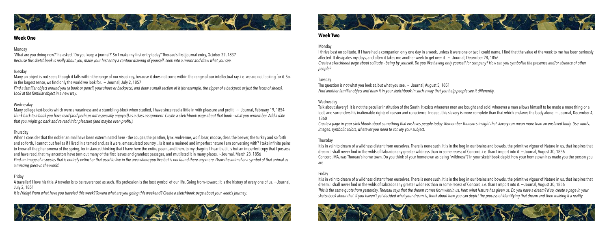

### **Week One**

#### Monday

'What are you doing now?' he asked. 'Do you keep a journal?' So I make my first entry today" Thoreau's first journal entry, October 22, 1837 *Because this sketchbook is really about you, make your first entry a contour drawing of yourself. Look into a mirror and draw what you see.*

#### Tuesday

Many an object is not seen, though it falls within the range of our visual ray, because it does not come within the range of our intellectual ray, i.e. we are not looking for it. So, in the largest sense, we find only the world we look for.  $\sim$  Journal, July 2, 1857

Many college text-books which were a weariness and a stumbling-block when studied, I have since read a little in with pleasure and profit.  $\sim$  Journal, February 19, 1854 *Think back to a book you have read (and perhaps not especially enjoyed) as a class assignment. Create a sketchbook page about that book - what you remember. Add a date that you might go back and re-read it for pleasure (and maybe even profit!).*

*Find a familiar object around you (a book or pencil, your shoes or backpack) and draw a small section of it (for example, the zipper of a backpack or just the laces of shoes). Look at the familiar object in a new way.*

#### Wednesday

When I consider that the nobler animal have been exterminated here - the cougar, the panther, lynx, wolverine, wolf, bear, moose, dear, the beaver, the turkey and so forth and so forth, I cannot but feel as if I lived in a tamed and, as it were, emasculated country... Is it not a maimed and imperfect nature I am conversing with? I take infinite pains to know all the phenomena of the spring, for instance, thinking that I have here the entire poem, and then, to my chagrin, I hear that it is but an imperfect copy that I possess and have read, that my ancestors have torn out many of the first leaves and grandest passages, and mutilated it in many places. ~Journal, March 23, 1856 *Find an image of a species that is entirely extinct or that used to live in the area where you live but is not found there any more. Draw the animal or a symbol of that animal as a missing piece in the world.* 

A traveller! I love his title. A traveler is to be reverenced as such. His profession is the best symbol of our life. Going from-toward; it is the history of every one of us. ~Journal, July 2, 1851

#### Thursday

I thrive best on solitude. If I have had a companion only one day in a week, unless it were one or two I could name, I find that the value of the week to me has been seriously affected. It dissipates my days, and often it takes me another week to get over it.  $\sim$  Journal, December 28, 1856 *Create a sketchbook page about solitude - being by yourself. Do you like having only yourself for company? How can you symbolize the presence and/or absence of other* 

The question is not what you look at, but what you see.  $\sim$  Journal, August 5, 1851 *Find another familiar object and draw it in your sketchbook in such a way that you help people see it differently.* 

Talk about slavery! It is not the peculiar institution of the South. It exists wherever men are bought and sold, wherever a man allows himself to be made a mere thing or a tool, and surrenders his inalienable rights of reason and conscience. Indeed, this slavery is more complete than that which enslaves the body alone. ~ Journal, December 4,

#### Friday

*It is Friday! From what have you traveled this week? Toward what are you going this weekend? Create a sketchbook page about your week's journey.*





### **Week Two**

Monday *people?*

Tuesday

Wednesday 1860

*Create a page in your sketchbook about something that enslaves people today. Remember Thoreau's insight that slavery can mean more than an enslaved body. Use words, images, symbolic colors, whatever you need to convey your subject.*

Thursday are.

It is in vain to dream of a wildness distant from ourselves. There is none such. It is in the bog in our brains and bowels, the primitive vigour of Nature in us, that inspires that dream. I shall never find in the wilds of Labrador any greater wildness than in some recess of Concord, i.e. than I import into it. ~Journal, August 30, 1856 Concord, MA, was Thoreau's home town. Do you think of your hometown as being "wildness"? In your sketchbook depict how your hometown has made you the person you

Friday It is in vain to dream of a wildness distant from ourselves. There is none such. It is in the bog in our brains and bowels, the primitive vigour of Nature in us, that inspires that dream. I shall never find in the wilds of Labrador any greater wildness than in some recess of Concord, i.e. than I import into it. ~Journal, August 30, 1856 *This is the same quote from yesterday. Thoreau says that the dream comes from within us, from what Nature has given us. Do you have a dream? If so, create a page in your sketchbook about that. If you haven't yet decided what your dream is, think about how you can depict the process of identifying that dream and then making it a reality.*